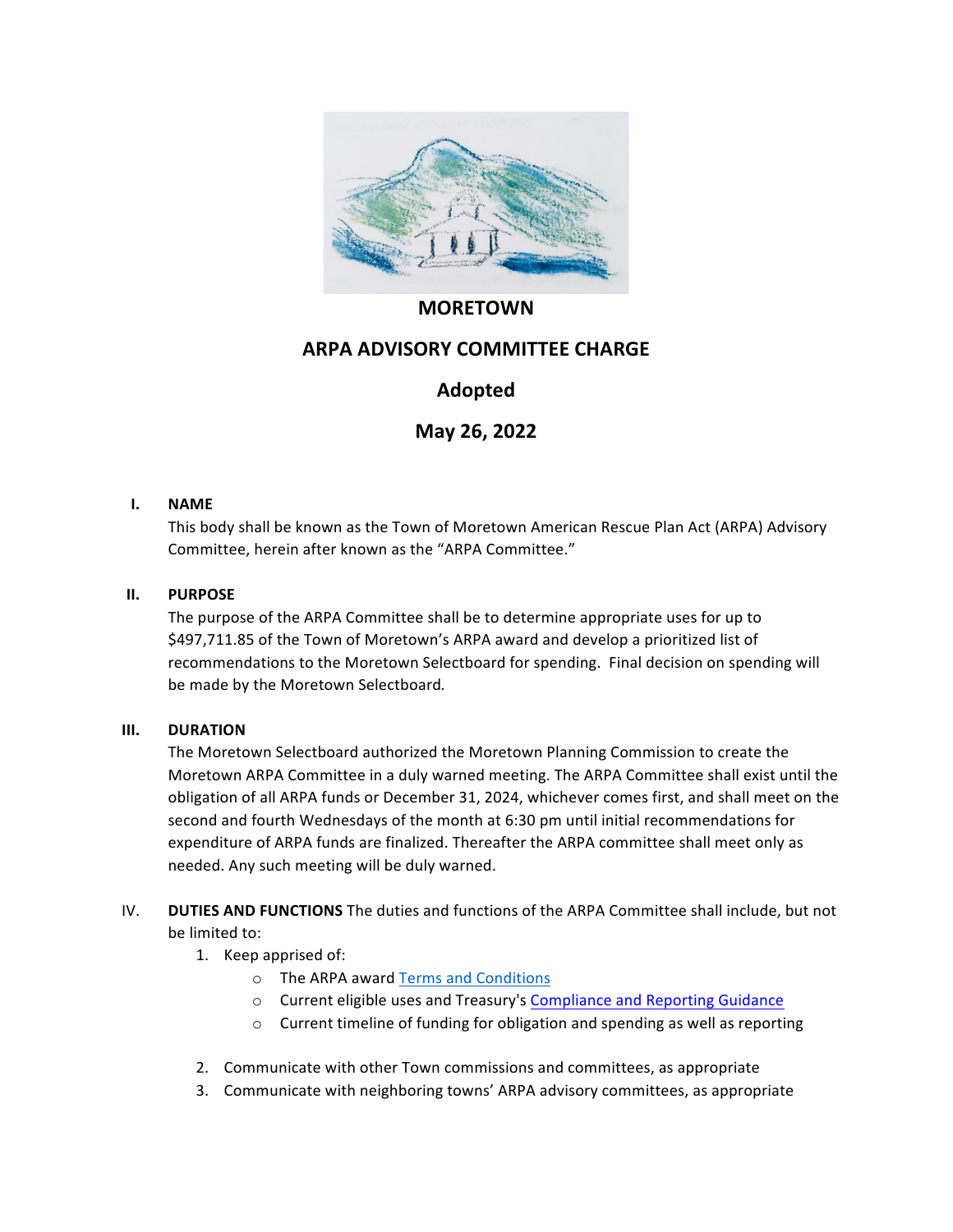

## **MORETOWN**

# **ARPA ADVISORY COMMITTEE CHARGE**

# **Adopted**

**May 26, 2022**

### **I. NAME**

This body shall be known as the Town of Moretown American Rescue Plan Act (ARPA) Advisory Committee, herein after known as the "ARPA Committee."

### **II. PURPOSE**

The purpose of the ARPA Committee shall be to determine appropriate uses for up to \$497,711.85 of the Town of Moretown's ARPA award and develop a prioritized list of recommendations to the Moretown Selectboard for spending. Final decision on spending will be made by the Moretown Selectboard.

### **III. DURATION**

The Moretown Selectboard authorized the Moretown Planning Commission to create the Moretown ARPA Committee in a duly warned meeting. The ARPA Committee shall exist until the obligation of all ARPA funds or December 31, 2024, whichever comes first, and shall meet on the second and fourth Wednesdays of the month at 6:30 pm until initial recommendations for expenditure of ARPA funds are finalized. Thereafter the ARPA committee shall meet only as needed. Any such meeting will be duly warned.

### IV. **DUTIES AND FUNCTIONS** The duties and functions of the ARPA Committee shall include, but not be limited to:

- 1. Keep apprised of:
	- o The ARPA award Terms and Conditions
	- o Current eligible uses and Treasury's Compliance and Reporting Guidance
	- $\circ$  Current timeline of funding for obligation and spending as well as reporting
- 2. Communicate with other Town commissions and committees, as appropriate
- 3. Communicate with neighboring towns' ARPA advisory committees, as appropriate